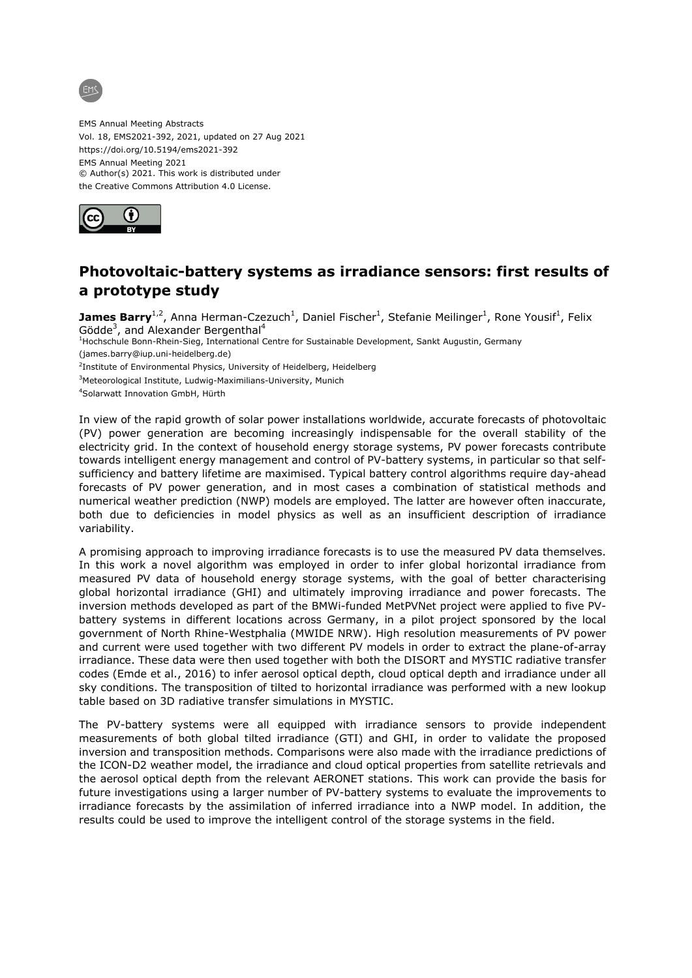

EMS Annual Meeting Abstracts Vol. 18, EMS2021-392, 2021, updated on 27 Aug 2021 https://doi.org/10.5194/ems2021-392 EMS Annual Meeting 2021 © Author(s) 2021. This work is distributed under the Creative Commons Attribution 4.0 License.



## **Photovoltaic-battery systems as irradiance sensors: first results of a prototype study**

James Barry<sup>1,2</sup>, Anna Herman-Czezuch<sup>1</sup>, Daniel Fischer<sup>1</sup>, Stefanie Meilinger<sup>1</sup>, Rone Yousif<sup>1</sup>, Felix Gödde<sup>3</sup>, and Alexander Bergenthal<sup>4</sup>

<sup>1</sup>Hochschule Bonn-Rhein-Sieg, International Centre for Sustainable Development, Sankt Augustin, Germany (james.barry@iup.uni-heidelberg.de)

<sup>2</sup>Institute of Environmental Physics, University of Heidelberg, Heidelberg

<sup>3</sup>Meteorological Institute, Ludwig-Maximilians-University, Munich

<sup>4</sup>Solarwatt Innovation GmbH, Hürth

In view of the rapid growth of solar power installations worldwide, accurate forecasts of photovoltaic (PV) power generation are becoming increasingly indispensable for the overall stability of the electricity grid. In the context of household energy storage systems, PV power forecasts contribute towards intelligent energy management and control of PV-battery systems, in particular so that selfsufficiency and battery lifetime are maximised. Typical battery control algorithms require day-ahead forecasts of PV power generation, and in most cases a combination of statistical methods and numerical weather prediction (NWP) models are employed. The latter are however often inaccurate, both due to deficiencies in model physics as well as an insufficient description of irradiance variability.

A promising approach to improving irradiance forecasts is to use the measured PV data themselves. In this work a novel algorithm was employed in order to infer global horizontal irradiance from measured PV data of household energy storage systems, with the goal of better characterising global horizontal irradiance (GHI) and ultimately improving irradiance and power forecasts. The inversion methods developed as part of the BMWi-funded MetPVNet project were applied to five PVbattery systems in different locations across Germany, in a pilot project sponsored by the local government of North Rhine-Westphalia (MWIDE NRW). High resolution measurements of PV power and current were used together with two different PV models in order to extract the plane-of-array irradiance. These data were then used together with both the DISORT and MYSTIC radiative transfer codes (Emde et al., 2016) to infer aerosol optical depth, cloud optical depth and irradiance under all sky conditions. The transposition of tilted to horizontal irradiance was performed with a new lookup table based on 3D radiative transfer simulations in MYSTIC.

The PV-battery systems were all equipped with irradiance sensors to provide independent measurements of both global tilted irradiance (GTI) and GHI, in order to validate the proposed inversion and transposition methods. Comparisons were also made with the irradiance predictions of the ICON-D2 weather model, the irradiance and cloud optical properties from satellite retrievals and the aerosol optical depth from the relevant AERONET stations. This work can provide the basis for future investigations using a larger number of PV-battery systems to evaluate the improvements to irradiance forecasts by the assimilation of inferred irradiance into a NWP model. In addition, the results could be used to improve the intelligent control of the storage systems in the field.